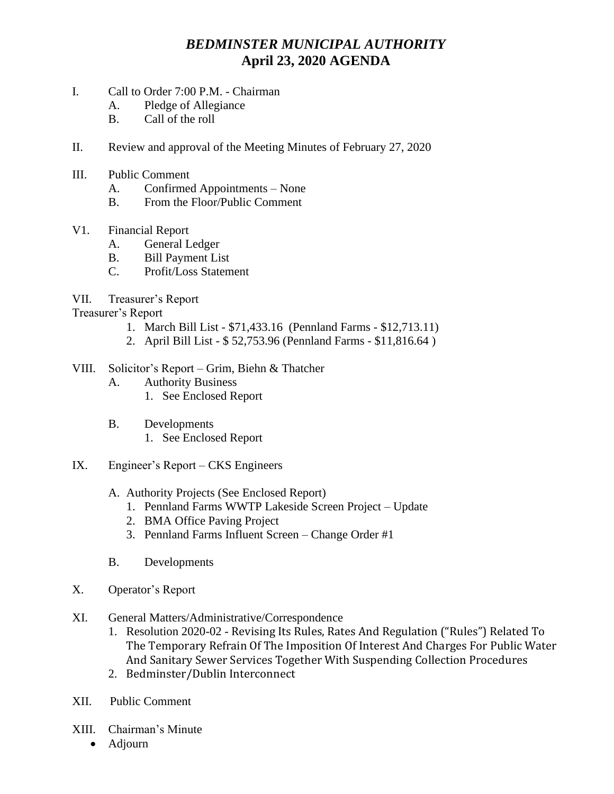## *BEDMINSTER MUNICIPAL AUTHORITY* **April 23, 2020 AGENDA**

- I. Call to Order 7:00 P.M. Chairman
	- A. Pledge of Allegiance
	- B. Call of the roll
- II. Review and approval of the Meeting Minutes of February 27, 2020
- III. Public Comment
	- A. Confirmed Appointments None
	- B. From the Floor/Public Comment
- V1. Financial Report
	- A. General Ledger
	- B. Bill Payment List
	- C. Profit/Loss Statement
- VII. Treasurer's Report

Treasurer's Report

- 1. March Bill List \$71,433.16 (Pennland Farms \$12,713.11)
- 2. April Bill List \$ 52,753.96 (Pennland Farms \$11,816.64 )
- VIII. Solicitor's Report Grim, Biehn & Thatcher
	- A. Authority Business
		- 1. See Enclosed Report
	- B. Developments
		- 1. See Enclosed Report
- IX. Engineer's Report CKS Engineers
	- A. Authority Projects (See Enclosed Report)
		- 1. Pennland Farms WWTP Lakeside Screen Project Update
		- 2. BMA Office Paving Project
		- 3. Pennland Farms Influent Screen Change Order #1
	- B. Developments
- X. Operator's Report
- XI. General Matters/Administrative/Correspondence
	- 1. Resolution 2020-02 Revising Its Rules, Rates And Regulation ("Rules") Related To The Temporary Refrain Of The Imposition Of Interest And Charges For Public Water And Sanitary Sewer Services Together With Suspending Collection Procedures
	- 2. Bedminster/Dublin Interconnect
- XII. Public Comment
- XIII. Chairman's Minute
	- Adjourn